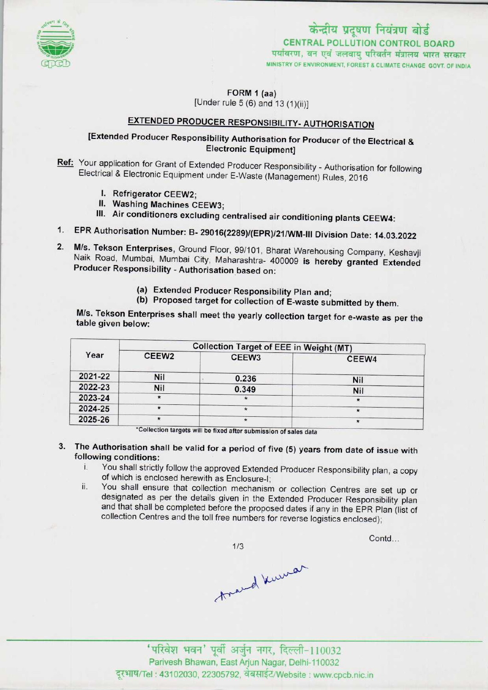

### केन्द्रीय प्रदूषण नियंत्रण बोर्ड CENTRAL POLLUTION CONTROL BOARD पर्यावरण, वन एवं जलवायु परिवर्तन मंत्रालय भारत सरकार MINISTRY OF ENVIRONMENT, FOREST S CLIMATE CHANGE GOVT. OF INDIA

FORM 1 (aa)

[Under rule  $5(6)$  and  $13(1)(ii)$ ]

# EXTENDED PRODUCER RESPONSIBILITY- AUTHORISATION

### [Extended Producer Responsibility Authorisation for Producer of the Electrical & Electronic Equipment]

Ref: Your application for Grant of Extended Producer Responsibility - Authorisation for following Electrical & Electronic Equipment under E-Waste (Management) Rules, 2016

- I. Refrigerator CEEW2;
- II. Washing Machines CEEW3;
- III. Air conditioners excluding centralised air conditioning plants CEEW4:
- EPR Authorisation Number: B- 29016(2289)/(EPR)/21/WM-lll Division Date: 14.03.2022
- M/s. Tekson Enterprises, Ground Floor, 99/101, Bharat Warehousing Company, Keshavji Naik Road, Mumbai, Mumbai City, Maharashtra- 400009 is hereby granted Extended Producer Responsibility - Authorisation based on:
	- (a)Extended Producer Responsibility Plan and;
	- (b) Proposed target for collection of E-waste submitted by them.

M/s. Tekson Enterprises shall meet the yearly collection target for e-waste as per the table given below:

| Year    | <b>Collection Target of EEE in Weight (MT)</b> |                   |         |
|---------|------------------------------------------------|-------------------|---------|
|         | CEEW <sub>2</sub>                              | CEEW <sub>3</sub> | CEEW4   |
| 2021-22 | <b>Nil</b>                                     | 0.236             | Nil     |
| 2022-23 | Nil                                            | 0.349             | Nil     |
| 2023-24 | $\star$                                        |                   | $\star$ |
| 2024-25 | $\star$                                        |                   | $\star$ |
| 2025-26 |                                                | $\star$           |         |

'Collection targets will be fixed aftersubmission of sales data

- 3. The Authorisation shall be valid for a period of five (5) years from date of issue with following conditions:
	- i. You shall strictly follow the approved Extended Producer Responsibility plan, <sup>a</sup> copy of which is enclosed herewith as Enclosure-I;
	- ii. You shall ensure that collection mechanism or collection Centres are set up or designated as per the details given in the Extended Producer Responsibility plan and that shall be completed before the proposed dates if any in the EPR Plan (list of collection Centres and the toll free numbers for reverse logistics enclosed);

 $1/3$ 1993 - 110032 March 110032<br>- 1998 अर्थात में पूर्वी अर्जुन नगर, दिल्ली-110032<br>-

Contd...

Parivesh Bhawan. East Arjun Nagar, Delhi-110032 दूरभाष/Tel : 43102030, 22305792, वेबसाईट/Website : www.cpcb.nic.in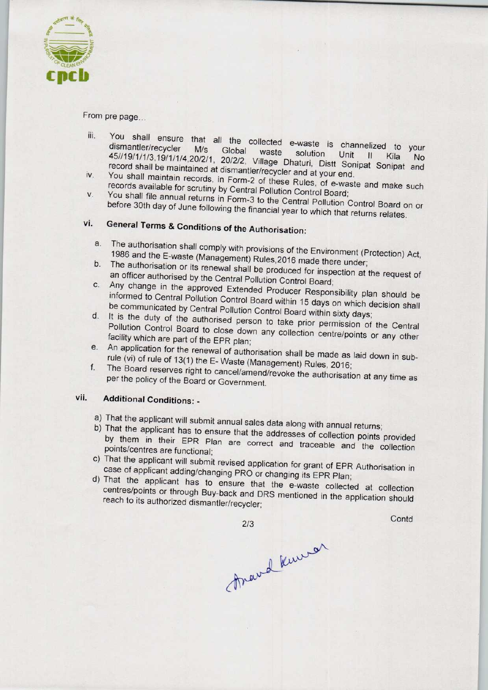

From pre page...

- iii. You shall ensure that all the collected e-waste is channelized to your You shall ensure that all the collected e-waste is channelized to your<br>dismantler/recycler M/s Global waste solution Unit II (ii) dismantier/recycler M/s Global waste solution Unit II Kila No<br>45//19/1/1/3,19/1/1/4,20/2/1, 20/2/2, Village Dhaturi, Distt Sonipat Sonipat and record shall be maintained at dismantler/recycler and at your end.<br>iv. You shall maintain records, in Form-2 of these Bulse af
- You shall maintain records, in Form-2 of these Rules, of e-waste and make such records available for scrutiny by Central Pollution Control Board; records available for scrutiny by Central Pollution Control Board;<br>V. You shall file annual returns in Form-3 to the Central Pollution Control D
- before 30th day of June following the financial year to which the Control Board of before 30th day of June following the financial year to which that returns relates.<br>vi. General Terms & Conditions of the Authorisation:

- Exercial Terms & Conditions of the Authorisation:<br>a. The authorisation shall comply with provisions of the Environment (Protection) Act 1986 and the E-waste (Management) Rules 2016 made the unionment (F
- 1986 and the E-waste (Management) Rules, 2016 made there under;<br>b. The authorisation or its renewal shall be produced for inspection at the request of an officer authorised by the Central Pollution Control Board;
- c.Any change in the approved Extended Producer Responsibility plan should be informed to Central Pollution Control Board within 15 days on which decision shall be communicated by Central Pollution Control Board within 15 days on which decision shall<br>d. It is the duty of the authorised person to take prior permission of the Central
- d. It is the duty of the authorised person to take prior permission of the Central Pollution Control Board to close down any collection centre/points or any other facility which are part of the EPR plan;
- e. An application for the renewal of authorisation shall be made as laid down in subrule (vi) of rule of 13(1) the E- Waste (Management) Rules, 2016;
- f. The Board reserves right to cancel/amend/revoke the authorisation at any time as per the policy of the Board or Government.

## vii. Additional Conditions: -

- a) That the applicant will submit annual sales data along with annual returns;
- b) That the applicant has to ensure that the addresses of collection points provided by them in their EPR Plan are correct and traceable and the collection points/centres are functional;
- c) That the applicant will submit revised application for grant of EPR Authorisation in case of applicant adding/changing PRO or changing its EPR Plan;
- d)That the applicant has to ensure that the e-waste collected at collection centres/points or through Buy-back and DRS mentioned in the application should reach to its authorized dismantler/recycler;

**Contd** 

2/3<br>mard kurran